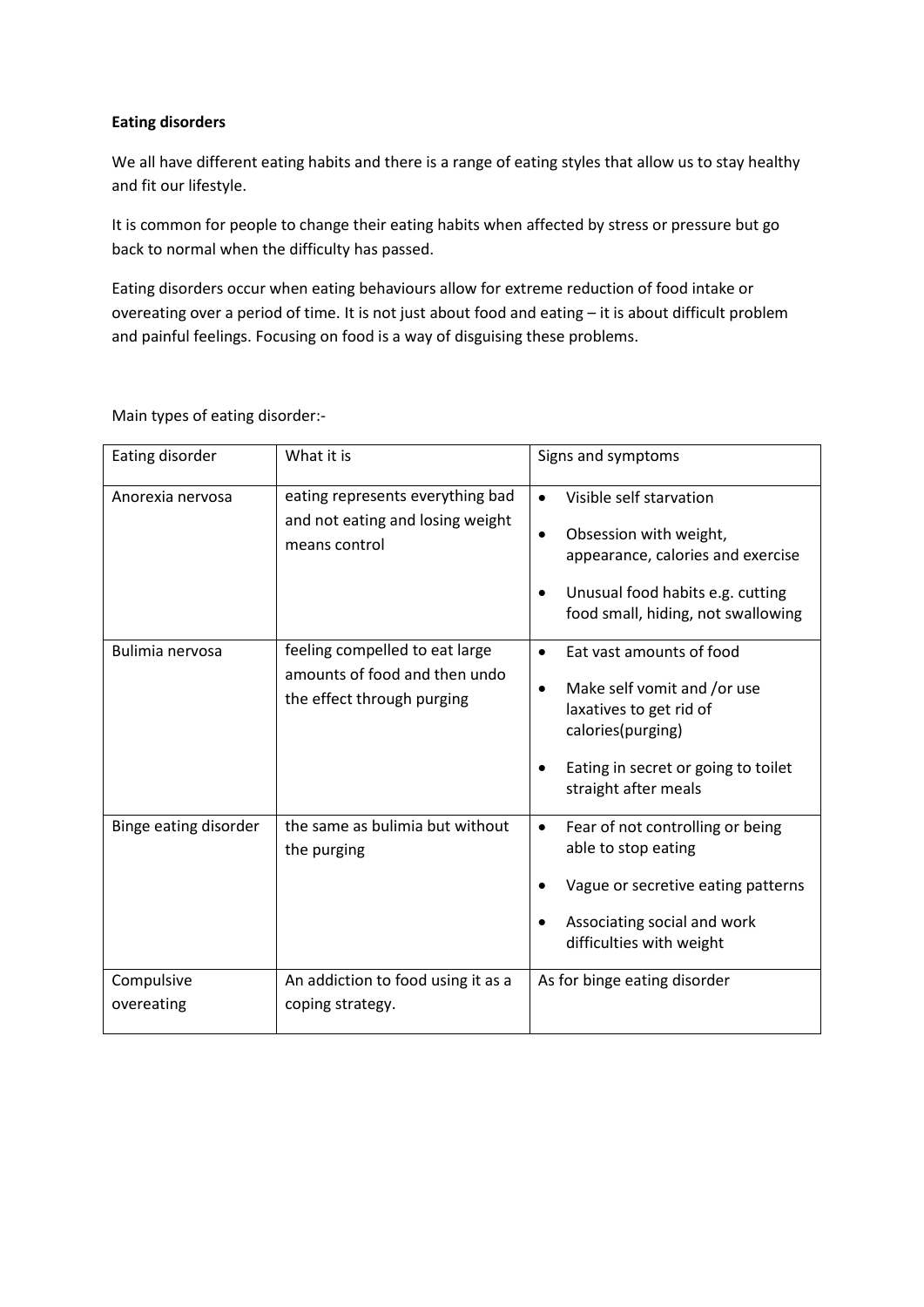### **Eating disorders**

We all have different eating habits and there is a range of eating styles that allow us to stay healthy and fit our lifestyle.

It is common for people to change their eating habits when affected by stress or pressure but go back to normal when the difficulty has passed.

Eating disorders occur when eating behaviours allow for extreme reduction of food intake or overeating over a period of time. It is not just about food and eating – it is about difficult problem and painful feelings. Focusing on food is a way of disguising these problems.

Main types of eating disorder:-

| Eating disorder          | What it is                                                                                    | Signs and symptoms                                                                                                                                                                                            |
|--------------------------|-----------------------------------------------------------------------------------------------|---------------------------------------------------------------------------------------------------------------------------------------------------------------------------------------------------------------|
| Anorexia nervosa         | eating represents everything bad<br>and not eating and losing weight<br>means control         | Visible self starvation<br>$\bullet$<br>Obsession with weight,<br>$\bullet$<br>appearance, calories and exercise<br>Unusual food habits e.g. cutting<br>$\bullet$<br>food small, hiding, not swallowing       |
| Bulimia nervosa          | feeling compelled to eat large<br>amounts of food and then undo<br>the effect through purging | Eat vast amounts of food<br>$\bullet$<br>Make self vomit and /or use<br>$\bullet$<br>laxatives to get rid of<br>calories(purging)<br>Eating in secret or going to toilet<br>$\bullet$<br>straight after meals |
| Binge eating disorder    | the same as bulimia but without<br>the purging                                                | Fear of not controlling or being<br>$\bullet$<br>able to stop eating<br>Vague or secretive eating patterns<br>Associating social and work<br>difficulties with weight                                         |
| Compulsive<br>overeating | An addiction to food using it as a<br>coping strategy.                                        | As for binge eating disorder                                                                                                                                                                                  |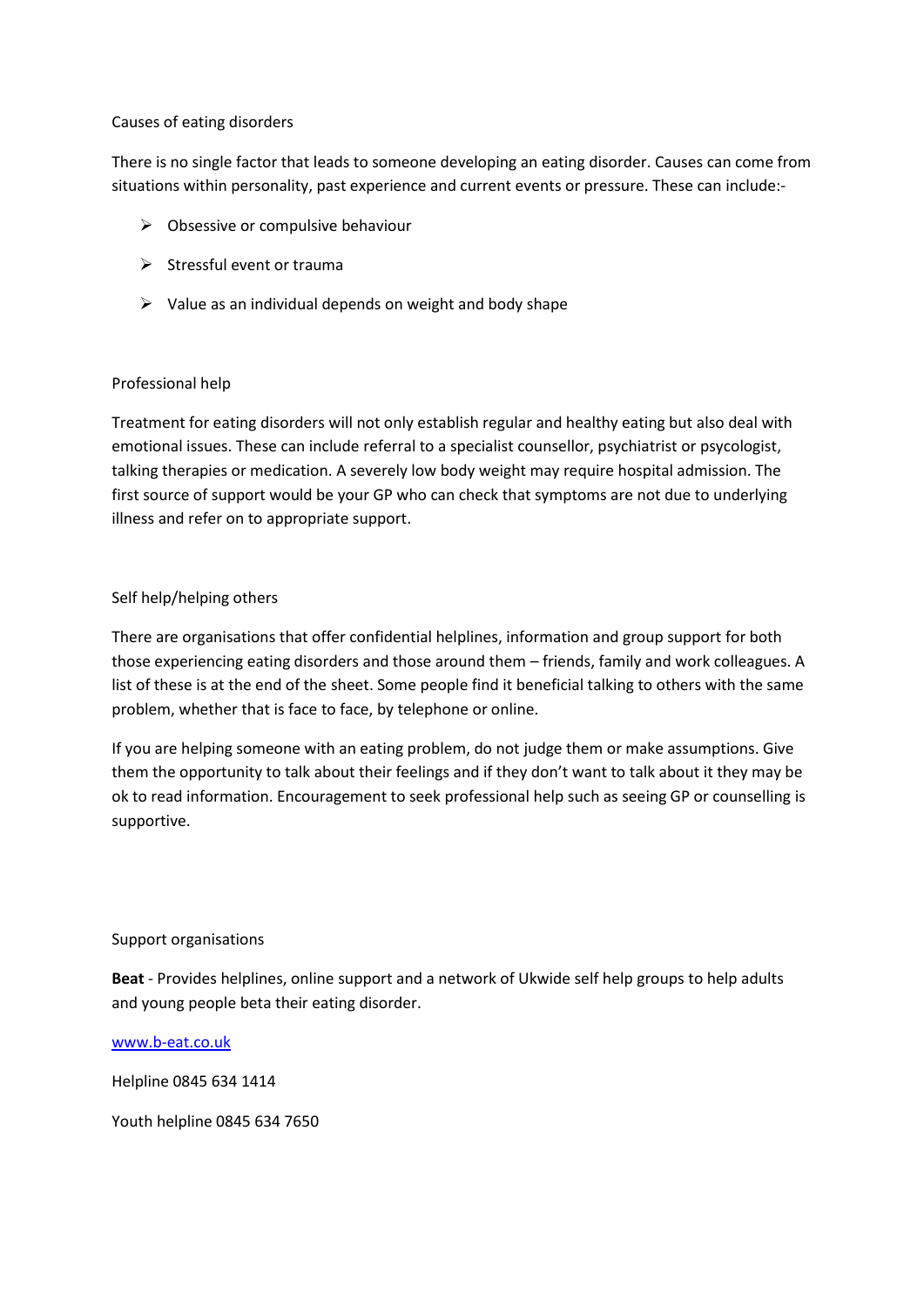#### Causes of eating disorders

There is no single factor that leads to someone developing an eating disorder. Causes can come from situations within personality, past experience and current events or pressure. These can include:-

- $\triangleright$  Obsessive or compulsive behaviour
- $\triangleright$  Stressful event or trauma
- $\triangleright$  Value as an individual depends on weight and body shape

# Professional help

Treatment for eating disorders will not only establish regular and healthy eating but also deal with emotional issues. These can include referral to a specialist counsellor, psychiatrist or psycologist, talking therapies or medication. A severely low body weight may require hospital admission. The first source of support would be your GP who can check that symptoms are not due to underlying illness and refer on to appropriate support.

# Self help/helping others

There are organisations that offer confidential helplines, information and group support for both those experiencing eating disorders and those around them – friends, family and work colleagues. A list of these is at the end of the sheet. Some people find it beneficial talking to others with the same problem, whether that is face to face, by telephone or online.

If you are helping someone with an eating problem, do not judge them or make assumptions. Give them the opportunity to talk about their feelings and if they don't want to talk about it they may be ok to read information. Encouragement to seek professional help such as seeing GP or counselling is supportive.

#### Support organisations

**Beat** - Provides helplines, online support and a network of Ukwide self help groups to help adults and young people beta their eating disorder.

[www.b-eat.co.uk](http://www.b-eat.co.uk/)

Helpline 0845 634 1414

Youth helpline 0845 634 7650